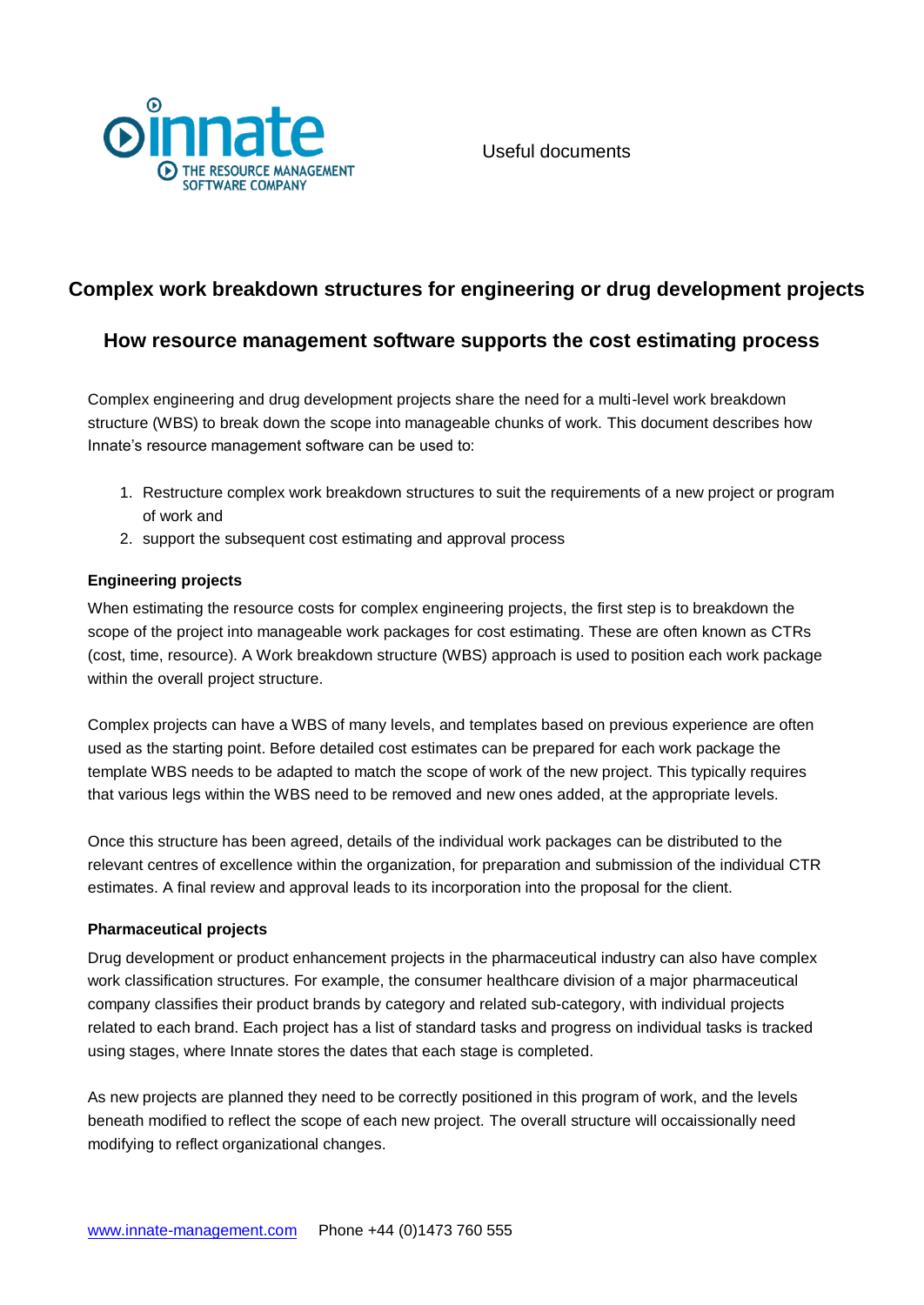

# **Complex work breakdown structures for engineering or drug development projects**

## **How resource management software supports the cost estimating process**

Complex engineering and drug development projects share the need for a multi-level work breakdown structure (WBS) to break down the scope into manageable chunks of work. This document describes how Innate's resource management software can be used to:

- 1. Restructure complex work breakdown structures to suit the requirements of a new project or program of work and
- 2. support the subsequent cost estimating and approval process

#### **Engineering projects**

When estimating the resource costs for complex engineering projects, the first step is to breakdown the scope of the project into manageable work packages for cost estimating. These are often known as CTRs (cost, time, resource). A Work breakdown structure (WBS) approach is used to position each work package within the overall project structure.

Complex projects can have a WBS of many levels, and templates based on previous experience are often used as the starting point. Before detailed cost estimates can be prepared for each work package the template WBS needs to be adapted to match the scope of work of the new project. This typically requires that various legs within the WBS need to be removed and new ones added, at the appropriate levels.

Once this structure has been agreed, details of the individual work packages can be distributed to the relevant centres of excellence within the organization, for preparation and submission of the individual CTR estimates. A final review and approval leads to its incorporation into the proposal for the client.

#### **Pharmaceutical projects**

Drug development or product enhancement projects in the pharmaceutical industry can also have complex work classification structures. For example, the consumer healthcare division of a major pharmaceutical company classifies their product brands by category and related sub-category, with individual projects related to each brand. Each project has a list of standard tasks and progress on individual tasks is tracked using stages, where Innate stores the dates that each stage is completed.

As new projects are planned they need to be correctly positioned in this program of work, and the levels beneath modified to reflect the scope of each new project. The overall structure will occaissionally need modifying to reflect organizational changes.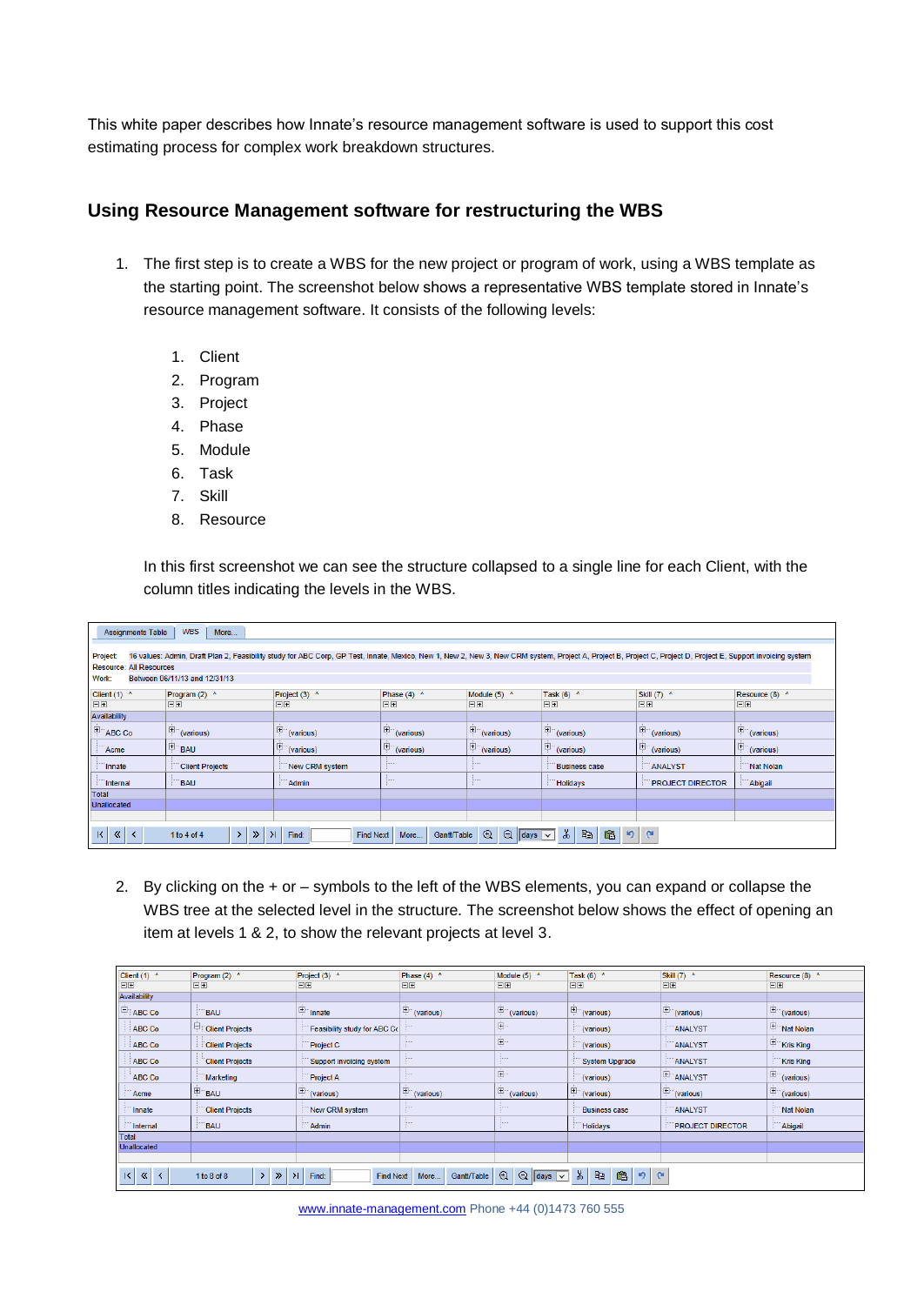This white paper describes how Innate's resource management software is used to support this cost estimating process for complex work breakdown structures.

### **Using Resource Management software for restructuring the WBS**

- 1. The first step is to create a WBS for the new project or program of work, using a WBS template as the starting point. The screenshot below shows a representative WBS template stored in Innate's resource management software. It consists of the following levels:
	- 1. Client
	- 2. Program
	- 3. Project
	- 4. Phase
	- 5. Module
	- 6. Task
	- 7. Skill
	- 8. Resource

In this first screenshot we can see the structure collapsed to a single line for each Client, with the column titles indicating the levels in the WBS.

| <b>WBS</b><br><b>Assignments Table</b><br>More                                                                                                                                                                                                                      |                                        |  |  |  |  |  |  |  |  |  |
|---------------------------------------------------------------------------------------------------------------------------------------------------------------------------------------------------------------------------------------------------------------------|----------------------------------------|--|--|--|--|--|--|--|--|--|
|                                                                                                                                                                                                                                                                     |                                        |  |  |  |  |  |  |  |  |  |
|                                                                                                                                                                                                                                                                     |                                        |  |  |  |  |  |  |  |  |  |
| Project:<br>16 values: Admin, Draft Plan 2, Feasibility study for ABC Corp, GP Test, Innate, Mexico, New 1, New 2, New 3, New CRM system, Project A, Project B, Project C, Project D, Project E, Support invoicing system                                           |                                        |  |  |  |  |  |  |  |  |  |
| <b>Resource: All Resources</b>                                                                                                                                                                                                                                      |                                        |  |  |  |  |  |  |  |  |  |
| Work:<br>Between 06/11/13 and 12/31/13                                                                                                                                                                                                                              |                                        |  |  |  |  |  |  |  |  |  |
| Client $(1)$ ^<br>Project (3) ^<br>Module $(5)$ ^<br>Task $(6)$ ^<br>Skill (7) ^<br>Program (2) ^<br>Phase $(4)$ ^                                                                                                                                                  | Resource (8) ^                         |  |  |  |  |  |  |  |  |  |
| EE<br>日田<br>EE<br>日田<br>日田<br>日田<br>日田                                                                                                                                                                                                                              | 日田                                     |  |  |  |  |  |  |  |  |  |
| Availability                                                                                                                                                                                                                                                        |                                        |  |  |  |  |  |  |  |  |  |
| <sup>E</sup> ABC Co<br>$\mathbb{H}$ (various)<br>$\mathbb{H}^{\cdots}$ (various)<br>$\left  \frac{1}{n} \right $ (various)<br>$\mathbb{H}$ (various)<br>$\mathbb{H}$ (various)<br>$\mathbb{H}^{\mathbb{H}}$ (various)                                               | $\left  \frac{1}{n} \right $ (various) |  |  |  |  |  |  |  |  |  |
|                                                                                                                                                                                                                                                                     |                                        |  |  |  |  |  |  |  |  |  |
| $\mathbb{E}_{(various)}$<br>Ė.<br><b>E</b> BAU<br>$\mathbb{H}^{\mathbb{H}}$ (various)<br>$\mathbb{H}$ (various)<br>$\left  \frac{\Box}{\Box}$ (various)<br>Acme<br>(various)                                                                                        | $ \dot{H}$ (various)                   |  |  |  |  |  |  |  |  |  |
| <b>Client Projects</b><br>New CRM system<br>ANALYST<br>Innate<br><b>Business case</b>                                                                                                                                                                               | <b>Nat Nolan</b>                       |  |  |  |  |  |  |  |  |  |
| <b>BAU</b><br>Internal<br>Admin<br><b>Holidays</b><br><b>PROJECT DIRECTOR</b>                                                                                                                                                                                       | Abigail                                |  |  |  |  |  |  |  |  |  |
| Total                                                                                                                                                                                                                                                               |                                        |  |  |  |  |  |  |  |  |  |
| <b>Unallocated</b>                                                                                                                                                                                                                                                  |                                        |  |  |  |  |  |  |  |  |  |
|                                                                                                                                                                                                                                                                     |                                        |  |  |  |  |  |  |  |  |  |
| $\vert \mathbf{K} \vert$                                                                                                                                                                                                                                            |                                        |  |  |  |  |  |  |  |  |  |
| $\lambda$<br>$^{\circ}$<br>lip<br>陷<br>$\mathbf{e}$<br>$\mathbf{r}$<br>$\left\langle \mathbf{K}\right\rangle$<br>$\Theta$<br>$\prec$<br>$\gg$<br>$\lambda$<br>$\rightarrow$<br>1 to 4 of 4<br>Gantt/Table<br>Find:<br><b>Find Next</b><br>More<br>$ $ days $  \vee$ |                                        |  |  |  |  |  |  |  |  |  |

2. By clicking on the + or – symbols to the left of the WBS elements, you can expand or collapse the WBS tree at the selected level in the structure. The screenshot below shows the effect of opening an item at levels 1 & 2, to show the relevant projects at level 3.

| Client $(1)$ ^                                                                                                                                                                                                                                                                                                   | Program (2) ^          | Project (3) ^                               | Phase $(4)$ ^                                      | Module (5) ^                         | Task $(6)$ ^                           | Skill (7) ^                                          | Resource (8) ^                  |  |
|------------------------------------------------------------------------------------------------------------------------------------------------------------------------------------------------------------------------------------------------------------------------------------------------------------------|------------------------|---------------------------------------------|----------------------------------------------------|--------------------------------------|----------------------------------------|------------------------------------------------------|---------------------------------|--|
| 日田                                                                                                                                                                                                                                                                                                               | 日田                     | 日田                                          | 日日                                                 | 日田                                   | 日田                                     | 日田                                                   | 日田                              |  |
| Availability                                                                                                                                                                                                                                                                                                     |                        |                                             |                                                    |                                      |                                        |                                                      |                                 |  |
| <b>FIABC Co</b>                                                                                                                                                                                                                                                                                                  | <b>BAU</b>             | Finnate                                     | $\mathbb{H}^{\mathbb{H}}$ (various)                | $\mathbb{H}^{\mathbb{H}}$ (various)  | $\mathbb{H}$ (various)                 | $\mathbb{H}$ (various)                               | $\mathbb{H}$ (various)          |  |
| ABC Co                                                                                                                                                                                                                                                                                                           | <b>Client Projects</b> | Feasibility study for ABC Co                |                                                    | 車                                    | (various)                              | ANALYST                                              | Nat Nolan                       |  |
| ABC Co                                                                                                                                                                                                                                                                                                           | <b>Client Projects</b> | <b>Project C</b>                            |                                                    | ∣Ė                                   | (various)                              | ANALYST                                              | Kris King                       |  |
| ABC Co                                                                                                                                                                                                                                                                                                           | <b>Client Projects</b> | Support invoicing system                    |                                                    | <b>TERRIT</b>                        | System Upgrade                         | ANALYST                                              | Kris King                       |  |
| ABC Co                                                                                                                                                                                                                                                                                                           | Marketing              | <b>Project A</b>                            |                                                    | 車                                    | (various)                              | ANALYST                                              | $\boxed{\frac{+}{}}$ (various)  |  |
| Acme                                                                                                                                                                                                                                                                                                             | <sup>E</sup> BAU       | $\sqrt{\frac{ \mathbf{H} ^2}{2}}$ (various) | $\left  \frac{\dot{H}}{\dot{H}} \right $ (various) | $\left  \frac{\Box}{\Box}$ (various) | $\left  \frac{1}{2} \right $ (various) | $\sqrt{\frac{ \mathbf{E} }{ \mathbf{E} }}$ (various) | $\boxed{\frac{1}{2}}$ (various) |  |
| Innate                                                                                                                                                                                                                                                                                                           | <b>Client Projects</b> | New CRM system                              |                                                    |                                      | <b>Business case</b>                   | ANALYST                                              | <b>Nat Nolan</b>                |  |
| Internal                                                                                                                                                                                                                                                                                                         | <b>BAU</b>             | Admin                                       |                                                    |                                      | <b>Holidays</b>                        | <b>PROJECT DIRECTOR</b>                              | Abigail                         |  |
| Total                                                                                                                                                                                                                                                                                                            |                        |                                             |                                                    |                                      |                                        |                                                      |                                 |  |
| Unallocated                                                                                                                                                                                                                                                                                                      |                        |                                             |                                                    |                                      |                                        |                                                      |                                 |  |
|                                                                                                                                                                                                                                                                                                                  |                        |                                             |                                                    |                                      |                                        |                                                      |                                 |  |
| $\overline{\mathsf{K}}$<br>L <sub>i</sub> p<br>$\lambda$<br>$\circledR$<br>$\bigcirc$ days $\vee$<br>陷<br>$\left\langle \mathbf{K}\right\rangle$<br>$\mathbf{G}$<br>内<br>$\rightarrow$<br>$\lambda$<br>$\rightarrow$<br>$\left\langle \right\rangle$<br>Gantt/Table<br>Find:<br>1 to 8 of 8<br>Find Next<br>More |                        |                                             |                                                    |                                      |                                        |                                                      |                                 |  |

[www.innate-management.com](http://www.innate-management.com/) Phone +44 (0)1473 760 555